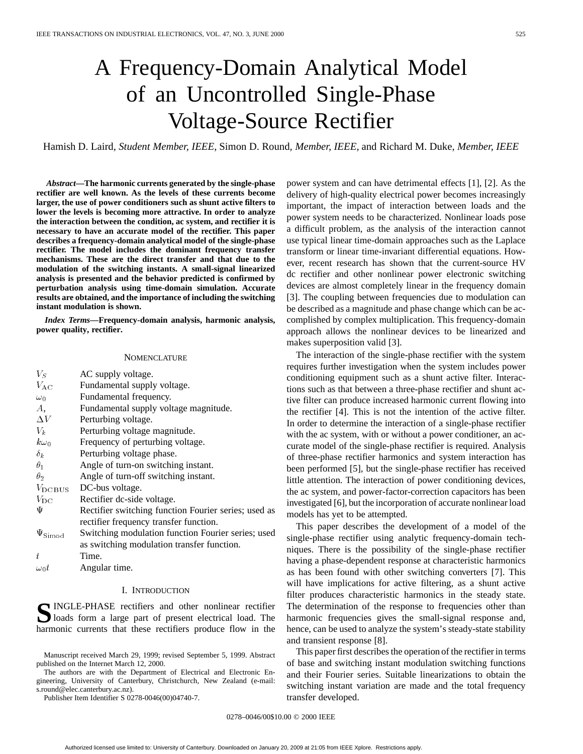# A Frequency-Domain Analytical Model of an Uncontrolled Single-Phase Voltage-Source Rectifier

Hamish D. Laird*, Student Member, IEEE*, Simon D. Round*, Member, IEEE*, and Richard M. Duke*, Member, IEEE*

*Abstract—***The harmonic currents generated by the single-phase rectifier are well known. As the levels of these currents become larger, the use of power conditioners such as shunt active filters to lower the levels is becoming more attractive. In order to analyze the interaction between the condition, ac system, and rectifier it is necessary to have an accurate model of the rectifier. This paper describes a frequency-domain analytical model of the single-phase rectifier. The model includes the dominant frequency transfer mechanisms. These are the direct transfer and that due to the modulation of the switching instants. A small-signal linearized analysis is presented and the behavior predicted is confirmed by perturbation analysis using time-domain simulation. Accurate results are obtained, and the importance of including the switching instant modulation is shown.**

*Index Terms—***Frequency-domain analysis, harmonic analysis, power quality, rectifier.**

#### NOMENCLATURE

| $V_S$               | AC supply voltage.                                   |
|---------------------|------------------------------------------------------|
| $V_{\rm AC}$        | Fundamental supply voltage.                          |
| $\omega_0$          | Fundamental frequency.                               |
| А.                  | Fundamental supply voltage magnitude.                |
| $\Delta V$          | Perturbing voltage.                                  |
| $V_k$               | Perturbing voltage magnitude.                        |
| $k\omega_0$         | Frequency of perturbing voltage.                     |
| $\delta_k$          | Perturbing voltage phase.                            |
| $\theta_1$          | Angle of turn-on switching instant.                  |
| $\theta_2$          | Angle of turn-off switching instant.                 |
| $V_{\text{DC BUS}}$ | DC-bus voltage.                                      |
| $V_{DC}$            | Rectifier dc-side voltage.                           |
| Ψ                   | Rectifier switching function Fourier series; used as |
|                     | rectifier frequency transfer function.               |
| $\Psi_{\rm Simod}$  | Switching modulation function Fourier series; used   |
|                     | as switching modulation transfer function.           |
| t.                  | Time.                                                |
|                     | $A = 1 - 1$                                          |

# $\omega_0 t$  Angular time.

# I. INTRODUCTION

**S**INGLE-PHASE rectifiers and other nonlinear rectifier<br>loads form a large part of present electrical load. The harmonic currents that these rectifiers produce flow in the

The authors are with the Department of Electrical and Electronic Engineering, University of Canterbury, Christchurch, New Zealand (e-mail: s.round@elec.canterbury.ac.nz).

Publisher Item Identifier S 0278-0046(00)04740-7.

power system and can have detrimental effects [1], [2]. As the delivery of high-quality electrical power becomes increasingly important, the impact of interaction between loads and the power system needs to be characterized. Nonlinear loads pose a difficult problem, as the analysis of the interaction cannot use typical linear time-domain approaches such as the Laplace transform or linear time-invariant differential equations. However, recent research has shown that the current-source HV dc rectifier and other nonlinear power electronic switching devices are almost completely linear in the frequency domain [3]. The coupling between frequencies due to modulation can be described as a magnitude and phase change which can be accomplished by complex multiplication. This frequency-domain approach allows the nonlinear devices to be linearized and makes superposition valid [3].

The interaction of the single-phase rectifier with the system requires further investigation when the system includes power conditioning equipment such as a shunt active filter. Interactions such as that between a three-phase rectifier and shunt active filter can produce increased harmonic current flowing into the rectifier [4]. This is not the intention of the active filter. In order to determine the interaction of a single-phase rectifier with the ac system, with or without a power conditioner, an accurate model of the single-phase rectifier is required. Analysis of three-phase rectifier harmonics and system interaction has been performed [5], but the single-phase rectifier has received little attention. The interaction of power conditioning devices, the ac system, and power-factor-correction capacitors has been investigated [6], but the incorporation of accurate nonlinear load models has yet to be attempted.

This paper describes the development of a model of the single-phase rectifier using analytic frequency-domain techniques. There is the possibility of the single-phase rectifier having a phase-dependent response at characteristic harmonics as has been found with other switching converters [7]. This will have implications for active filtering, as a shunt active filter produces characteristic harmonics in the steady state. The determination of the response to frequencies other than harmonic frequencies gives the small-signal response and, hence, can be used to analyze the system's steady-state stability and transient response [8].

This paper first describes the operation of the rectifier in terms of base and switching instant modulation switching functions and their Fourier series. Suitable linearizations to obtain the switching instant variation are made and the total frequency transfer developed.

0278–0046/00\$10.00 © 2000 IEEE

Manuscript received March 29, 1999; revised September 5, 1999. Abstract published on the Internet March 12, 2000.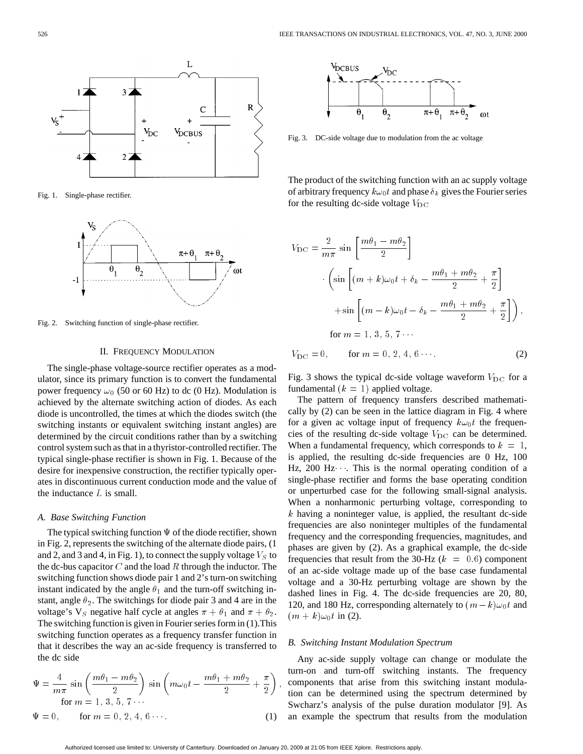

Fig. 1. Single-phase rectifier.



Fig. 2. Switching function of single-phase rectifier.

# II. FREQUENCY MODULATION

The single-phase voltage-source rectifier operates as a modulator, since its primary function is to convert the fundamental power frequency  $\omega_0$  (50 or 60 Hz) to dc (0 Hz). Modulation is achieved by the alternate switching action of diodes. As each diode is uncontrolled, the times at which the diodes switch (the switching instants or equivalent switching instant angles) are determined by the circuit conditions rather than by a switching control system such as that in a thyristor-controlled rectifier. The typical single-phase rectifier is shown in Fig. 1. Because of the desire for inexpensive construction, the rectifier typically operates in discontinuous current conduction mode and the value of the inductance  $L$  is small.

# *A. Base Switching Function*

The typical switching function  $\Psi$  of the diode rectifier, shown in Fig. 2, represents the switching of the alternate diode pairs, (1 and 2, and 3 and 4, in Fig. 1), to connect the supply voltage  $V_S$  to the dc-bus capacitor  $C$  and the load  $R$  through the inductor. The switching function shows diode pair 1 and 2's turn-on switching instant indicated by the angle  $\theta_1$  and the turn-off switching instant, angle  $\theta_2$ . The switchings for diode pair 3 and 4 are in the voltage's  $V_S$  negative half cycle at angles  $\pi + \theta_1$  and  $\pi + \theta_2$ . The switching function is given in Fourier series form in (1).This switching function operates as a frequency transfer function in that it describes the way an ac-side frequency is transferred to the dc side ching function operates as a frequency transfer function<br>it describes the way an ac-side frequency is transfer<br>dc side<br> $\frac{4}{m\pi} \sin\left(\frac{m\theta_1 - m\theta_2}{2}\right) \sin\left(m\omega_0 t - \frac{m\theta_1 + m\theta_2}{2}\right)$ 

$$
\Psi = \frac{4}{m\pi} \sin\left(\frac{m\theta_1 - m\theta_2}{2}\right) \sin\left(m\omega_0 t - \frac{m\theta_1 + m\theta_2}{2} + \frac{\pi}{2}\right)
$$
  
for  $m = 1, 3, 5, 7 \cdots$   

$$
\Psi = 0, \quad \text{for } m = 0, 2, 4, 6 \cdots.
$$
 (1)



Fig. 3. DC-side voltage due to modulation from the ac voltage

The product of the switching function with an ac supply voltage of arbitrary frequency  $k\omega_0 t$  and phase  $\delta_k$  gives the Fourier series for the resulting dc-side voltage  $V_{\text{DC}}$ 

$$
V_{\rm DC} = \frac{2}{m\pi} \sin\left[\frac{m\theta_1 - m\theta_2}{2}\right]
$$

$$
\cdot \left(\sin\left[(m+k)\omega_0 t + \delta_k - \frac{m\theta_1 + m\theta_2}{2} + \frac{\pi}{2}\right]\right)
$$

$$
+ \sin\left[(m-k)\omega_0 t - \delta_k - \frac{m\theta_1 + m\theta_2}{2} + \frac{\pi}{2}\right]\right),
$$
for  $m = 1, 3, 5, 7 \cdots$ 
$$
V_{\rm DC} = 0, \quad \text{for } m = 0, 2, 4, 6 \cdots.
$$
 (2)

Fig. 3 shows the typical dc-side voltage waveform  $V_{\text{DC}}$  for a fundamental  $(k = 1)$  applied voltage.

The pattern of frequency transfers described mathematically by (2) can be seen in the lattice diagram in Fig. 4 where for a given ac voltage input of frequency  $k\omega_0t$  the frequencies of the resulting dc-side voltage  $V_{\text{DC}}$  can be determined. When a fundamental frequency, which corresponds to  $k = 1$ , is applied, the resulting dc-side frequencies are 0 Hz, 100 Hz,  $200$  Hz $\cdots$ . This is the normal operating condition of a single-phase rectifier and forms the base operating condition or unperturbed case for the following small-signal analysis. When a nonharmonic perturbing voltage, corresponding to  $k$  having a noninteger value, is applied, the resultant dc-side frequencies are also noninteger multiples of the fundamental frequency and the corresponding frequencies, magnitudes, and phases are given by (2). As a graphical example, the dc-side frequencies that result from the 30-Hz  $(k = 0.6)$  component of an ac-side voltage made up of the base case fundamental voltage and a 30-Hz perturbing voltage are shown by the dashed lines in Fig. 4. The dc-side frequencies are 20, 80, voltage and a 30-Hz perturbing voltage are shown by the dashed lines in Fig. 4. The dc-side frequencies are 20, 80, 120, and 180 Hz, corresponding alternately to  $(m-k)\omega_0 t$  and  $(m + k)\omega_0 t$  in (2).

# *B. Switching Instant Modulation Spectrum*

Any ac-side supply voltage can change or modulate the turn-on and turn-off switching instants. The frequency components that arise from this switching instant modulation can be determined using the spectrum determined by Swcharz's analysis of the pulse duration modulator [9]. As an example the spectrum that results from the modulation

;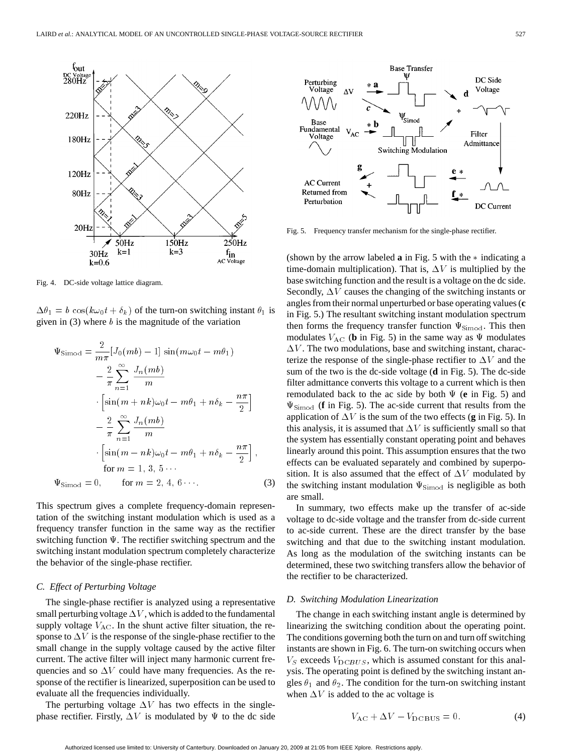

Fig. 4. DC-side voltage lattice diagram.

given in  $(3)$  where b is the magnitude of the variation

$$
\Delta\theta_1 = b \cos(k\omega_0 t + \delta_k) \text{ of the turn-on switching instant } \theta_1 \text{ is}
$$
\ngiven in (3) where *b* is the magnitude of the variation\n
$$
\Psi_{\text{Simod}} = \frac{2}{m\pi} [J_0(mb) - 1] \sin(m\omega_0 t - m\theta_1)
$$
\n
$$
- \frac{2}{\pi} \sum_{n=1}^{\infty} \frac{J_n(mb)}{m}
$$
\n
$$
\cdot \left[ \sin(m + nk)\omega_0 t - m\theta_1 + n\delta_k - \frac{n\pi}{2} \right]
$$
\n
$$
- \frac{2}{\pi} \sum_{n=1}^{\infty} \frac{J_n(mb)}{m}
$$
\n
$$
\cdot \left[ \sin(m - nk)\omega_0 t - m\theta_1 + n\delta_k - \frac{n\pi}{2} \right],
$$
\nfor  $m = 1, 3, 5 \cdots$ \n
$$
\Psi_{\text{Simod}} = 0, \quad \text{for } m = 2, 4, 6 \cdots
$$
\n(3)

This spectrum gives a complete frequency-domain representation of the switching instant modulation which is used as a frequency transfer function in the same way as the rectifier switching function  $\Psi$ . The rectifier switching spectrum and the switching instant modulation spectrum completely characterize the behavior of the single-phase rectifier.

# *C. Effect of Perturbing Voltage*

The single-phase rectifier is analyzed using a representative small perturbing voltage  $\Delta V$ , which is added to the fundamental supply voltage  $V_{AC}$ . In the shunt active filter situation, the response to  $\Delta V$  is the response of the single-phase rectifier to the small change in the supply voltage caused by the active filter current. The active filter will inject many harmonic current frequencies and so  $\Delta V$  could have many frequencies. As the response of the rectifier is linearized, superposition can be used to evaluate all the frequencies individually.

The perturbing voltage  $\Delta V$  has two effects in the singlephase rectifier. Firstly,  $\Delta V$  is modulated by  $\Psi$  to the dc side



Fig. 5. Frequency transfer mechanism for the single-phase rectifier.

(shown by the arrow labeled  $\bf{a}$  in Fig. 5 with the  $*$  indicating a time-domain multiplication). That is,  $\Delta V$  is multiplied by the base switching function and the result is a voltage on the dc side. Secondly,  $\Delta V$  causes the changing of the switching instants or angles from their normal unperturbed or base operating values (**c** in Fig. 5.) The resultant switching instant modulation spectrum then forms the frequency transfer function  $\Psi_{\text{Simod}}$ . This then modulates  $V_{AC}$  (**b** in Fig. 5) in the same way as  $\Psi$  modulates  $\Delta V$ . The two modulations, base and switching instant, characterize the response of the single-phase rectifier to  $\Delta V$  and the sum of the two is the dc-side voltage (**d** in Fig. 5). The dc-side filter admittance converts this voltage to a current which is then remodulated back to the ac side by both  $\Psi$  (**e** in Fig. 5) and  $\Psi_{\text{Simod}}$  (**f** in Fig. 5). The ac-side current that results from the application of  $\Delta V$  is the sum of the two effects (**g** in Fig. 5). In this analysis, it is assumed that  $\Delta V$  is sufficiently small so that the system has essentially constant operating point and behaves linearly around this point. This assumption ensures that the two effects can be evaluated separately and combined by superposition. It is also assumed that the effect of  $\Delta V$  modulated by the switching instant modulation  $\Psi_{\text{Simod}}$  is negligible as both are small.

In summary, two effects make up the transfer of ac-side voltage to dc-side voltage and the transfer from dc-side current to ac-side current. These are the direct transfer by the base switching and that due to the switching instant modulation. As long as the modulation of the switching instants can be determined, these two switching transfers allow the behavior of the rectifier to be characterized.

#### *D. Switching Modulation Linearization*

The change in each switching instant angle is determined by linearizing the switching condition about the operating point. The conditions governing both the turn on and turn off switching instants are shown in Fig. 6. The turn-on switching occurs when  $V_S$  exceeds  $V_{DCBUS}$ , which is assumed constant for this analysis. The operating point is defined by the switching instant angles  $\theta_1$  and  $\theta_2$ . The condition for the turn-on switching instant when  $\Delta V$  is added to the ac voltage is

$$
V_{\rm AC} + \Delta V - V_{\rm DC\,BUS} = 0.
$$
 (4)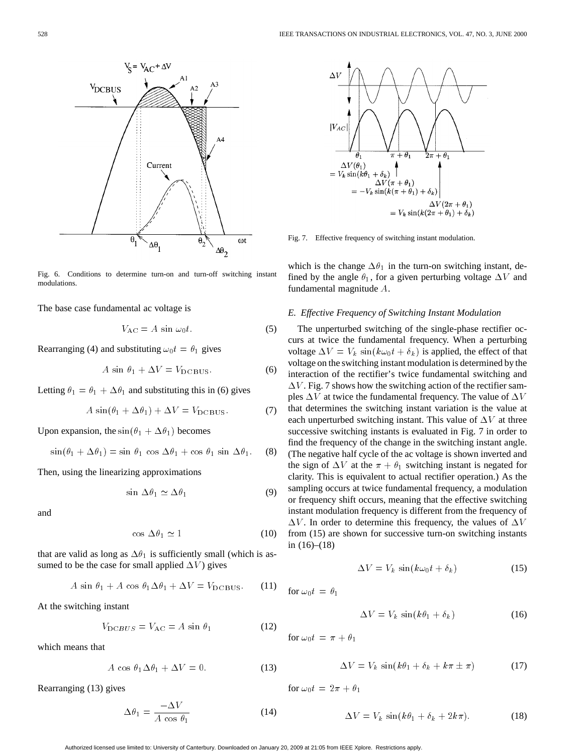

Fig. 6. Conditions to determine turn-on and turn-off switching instant modulations.

The base case fundamental ac voltage is

$$
V_{\rm AC} = A \sin \omega_0 t. \tag{5}
$$

Rearranging (4) and substituting  $\omega_0 t = \theta_1$  gives

$$
A \sin \theta_1 + \Delta V = V_{\text{DCBUS}}.\tag{6}
$$

Letting  $\theta_1 = \theta_1 + \Delta \theta_1$  and substituting this in (6) gives

$$
A\sin(\theta_1 + \Delta\theta_1) + \Delta V = V_{\text{DCBUS}}.\tag{7}
$$

Upon expansion, the  $\sin(\theta_1 + \Delta\theta_1)$  becomes

$$
\sin(\theta_1 + \Delta\theta_1) = \sin\,\theta_1\,\cos\,\Delta\theta_1 + \cos\,\theta_1\,\sin\,\Delta\theta_1. \tag{8}
$$

Then, using the linearizing approximations

$$
\sin \Delta \theta_1 \simeq \Delta \theta_1 \tag{9}
$$

and

$$
\cos \Delta \theta_1 \simeq 1 \tag{10}
$$

that are valid as long as  $\Delta\theta_1$  is sufficiently small (which is assumed to be the case for small applied  $\Delta V$ ) gives

$$
A \sin \theta_1 + A \cos \theta_1 \Delta \theta_1 + \Delta V = V_{\text{DC BUS}}.
$$
 (11)

At the switching instant

$$
V_{\text{DCBUS}} = V_{\text{AC}} = A \sin \theta_1 \tag{12}
$$

which means that

$$
A \cos \theta_1 \Delta \theta_1 + \Delta V = 0. \tag{13}
$$

Rearranging (13) gives

$$
\Delta\theta_1 = \frac{-\Delta V}{A \cos \theta_1} \tag{14}
$$



Fig. 7. Effective frequency of switching instant modulation.

which is the change  $\Delta\theta_1$  in the turn-on switching instant, defined by the angle  $\theta_1$ , for a given perturbing voltage  $\Delta V$  and fundamental magnitude A.

#### *E. Effective Frequency of Switching Instant Modulation*

The unperturbed switching of the single-phase rectifier occurs at twice the fundamental frequency. When a perturbing voltage  $\Delta V = V_k \sin(k\omega_0 t + \delta_k)$  is applied, the effect of that voltage on the switching instant modulation is determined by the interaction of the rectifier's twice fundamental switching and  $\Delta V$ . Fig. 7 shows how the switching action of the rectifier samples  $\Delta V$  at twice the fundamental frequency. The value of  $\Delta V$ that determines the switching instant variation is the value at each unperturbed switching instant. This value of  $\Delta V$  at three successive switching instants is evaluated in Fig. 7 in order to find the frequency of the change in the switching instant angle. (The negative half cycle of the ac voltage is shown inverted and the sign of  $\Delta V$  at the  $\pi + \theta_1$  switching instant is negated for clarity. This is equivalent to actual rectifier operation.) As the sampling occurs at twice fundamental frequency, a modulation or frequency shift occurs, meaning that the effective switching instant modulation frequency is different from the frequency of  $\Delta V$ . In order to determine this frequency, the values of  $\Delta V$ from (15) are shown for successive turn-on switching instants in  $(16)–(18)$ 

$$
\Delta V = V_k \sin(k\omega_0 t + \delta_k) \tag{15}
$$

for 
$$
\omega_0 t = \theta_1
$$

$$
\Delta V = V_k \sin(k\theta_1 + \delta_k) \tag{16}
$$

for  $\omega_0 t = \pi + \theta_1$ 

$$
\Delta V = V_k \sin(k\theta_1 + \delta_k + k\pi \pm \pi) \tag{17}
$$

for  $\omega_0 t = 2\pi + \theta_1$ 

$$
\Delta V = V_k \sin(k\theta_1 + \delta_k + 2k\pi). \tag{18}
$$

Authorized licensed use limited to: University of Canterbury. Downloaded on January 20, 2009 at 21:05 from IEEE Xplore. Restrictions apply.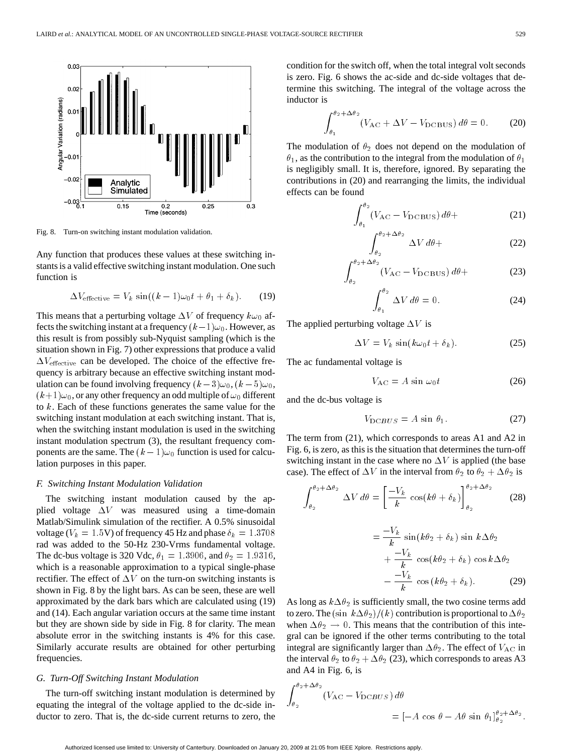

Fig. 8. Turn-on switching instant modulation validation.

Any function that produces these values at these switching instants is a valid effective switching instant modulation. One such function is ction that produces these values at these switching in-<br>
valid effective switching instant modulation. One such<br>
is<br>  $\Delta V_{\text{effective}} = V_k \sin((k - 1)\omega_0 t + \theta_1 + \delta_k).$  (19)

$$
\Delta V_{\text{effective}} = V_k \, \sin((k-1)\omega_0 t + \theta_1 + \delta_k). \tag{19}
$$

This means that a perturbing voltage  $\Delta V$  of frequency  $k\omega_0$  af- $\Delta V_{\text{effective}} = V_k \sin((k-1)\omega_0 t + \theta_1 + \delta_k).$  (19)<br>This means that a perturbing voltage  $\Delta V$  of frequency  $k\omega_0$  af-<br>fects the switching instant at a frequency  $(k-1)\omega_0$ . However, as this result is from possibly sub-Nyquist sampling (which is the situation shown in Fig. 7) other expressions that produce a valid  $\Delta V_{\text{effective}}$  can be developed. The choice of the effective frequency is arbitrary because an effective switching instant modthis result is from possibly sub-Nyquist sampling (which is the situation shown in Fig. 7) other expressions that produce a valid  $\Delta V_{\text{effective}}$  can be developed. The choice of the effective frequency is arbitrary because an  $(k+1)\omega_0$ , or any other frequency an odd multiple of  $\omega_0$  different to  $k$ . Each of these functions generates the same value for the switching instant modulation at each switching instant. That is, when the switching instant modulation is used in the switching instant modulation spectrum (3), the resultant frequency comto k. Each of these functions generates the same value for the switching instant modulation at each switching instant. That is, when the switching instant modulation is used in the switching instant modulation spectrum (3 lation purposes in this paper.

#### *F. Switching Instant Modulation Validation*

The switching instant modulation caused by the applied voltage  $\Delta V$  was measured using a time-domain Matlab/Simulink simulation of the rectifier. A 0.5% sinusoidal voltage ( $V_k = 1.5$ V) of frequency 45 Hz and phase  $\delta_k = 1.3708$ rad was added to the 50-Hz 230-Vrms fundamental voltage. The dc-bus voltage is 320 Vdc,  $\theta_1 = 1.3906$ , and  $\theta_2 = 1.9316$ , which is a reasonable approximation to a typical single-phase rectifier. The effect of  $\Delta V$  on the turn-on switching instants is shown in Fig. 8 by the light bars. As can be seen, these are well approximated by the dark bars which are calculated using (19) and (14). Each angular variation occurs at the same time instant but they are shown side by side in Fig. 8 for clarity. The mean absolute error in the switching instants is 4% for this case. Similarly accurate results are obtained for other perturbing frequencies.

# *G. Turn-Off Switching Instant Modulation*

The turn-off switching instant modulation is determined by equating the integral of the voltage applied to the dc-side inductor to zero. That is, the dc-side current returns to zero, the condition for the switch off, when the total integral volt seconds is zero. Fig. 6 shows the ac-side and dc-side voltages that determine this switching. The integral of the voltage across the inductor is ws the ac-side and dc-side voltages that de-<br>ing. The integral of the voltage across the<br> $(V_{AC} + \Delta V - V_{DCBUS}) d\theta = 0.$  (20)

$$
\int_{\theta_1}^{\theta_2 + \Delta \theta_2} (V_{\rm AC} + \Delta V - V_{\rm DCBUS}) d\theta = 0.
$$
 (20)

The modulation of  $\theta_2$  does not depend on the modulation of  $\theta_1$ , as the contribution to the integral from the modulation of  $\theta_1$ is negligibly small. It is, therefore, ignored. By separating the contributions in (20) and rearranging the limits, the individual effects can be found is, therefore, ignored. By separating the<br>
und rearranging the limits, the individual<br>  $(V_{AC} - V_{DCBUS}) d\theta +$  (21)

$$
\int_{\theta_1}^{\theta_2} (V_{\text{AC}} - V_{\text{DCBUS}}) \, d\theta + \tag{21}
$$

$$
\int_{\theta_2}^{\theta_2 + \Delta \theta_2} \Delta V \, d\theta +
$$
\n
$$
+ \Delta \theta_2 \qquad (V_{\rm AC} - V_{\rm DCBUS}) \, d\theta +
$$
\n(23)

$$
\int_{\theta_2}^{\theta_2 + \Delta \theta_2} (V_{\rm AC} - V_{\rm DC\,BUS}) d\theta +
$$
 (23)

$$
\int_{\theta_1}^{\theta_2} \Delta V \, d\theta = 0. \tag{24}
$$

The applied perturbing voltage  $\Delta V$  is

 $\Delta V = V_k \sin(k\omega_0 t + \delta_k).$  (25)

The ac fundamental voltage is

$$
V_{\rm AC} = A \sin \omega_0 t \tag{26}
$$

and the dc-bus voltage is

$$
V_{\text{DCBUS}} = A \sin \theta_1. \tag{27}
$$

The term from (21), which corresponds to areas A1 and A2 in Fig. 6, is zero, as this is the situation that determines the turn-off switching instant in the case where no  $\Delta V$  is applied (the base case). The effect of  $\Delta V$  in the interval from  $\theta_2$  to  $\theta_2 + \Delta \theta_2$  is situa<br>ve where it the i

$$
\int_{\theta_2}^{\theta_2 + \Delta \theta_2} \Delta V d\theta = \left[ \frac{-V_k}{k} \cos(k\theta + \delta_k) \right]_{\theta_2}^{\theta_2 + \Delta \theta_2}
$$
 (28)  

$$
= \frac{-V_k}{k} \sin(k\theta_2 + \delta_k) \sin k\Delta \theta_2
$$

$$
\begin{aligned}\n &\mathsf{L} \cdot \mathsf{L} \quad \mathsf{L} \mathsf{L} \mathsf{L} \mathsf{L} \mathsf{L} \mathsf{L} \mathsf{L} \mathsf{L} \mathsf{L} \mathsf{L} \mathsf{L} \mathsf{L} \mathsf{L} \mathsf{L} \mathsf{L} \mathsf{L} \mathsf{L} \mathsf{L} \mathsf{L} \mathsf{L} \mathsf{L} \mathsf{L} \mathsf{L} \mathsf{L} \mathsf{L} \mathsf{L} \mathsf{L} \mathsf{L} \mathsf{L} \mathsf{L} \mathsf{L} \mathsf{L} \mathsf{L} \mathsf{L} \mathsf{L} \mathsf{L} \mathsf{L} \mathsf{L} \mathsf{L} \mathsf{L} \mathsf{L} \mathsf{L} \mathsf{L} \mathsf{L} \mathsf{L} \mathsf{L} \mathsf{L} \mathsf{L} \mathsf{L} \mathsf{L} \mathsf{L} \mathsf{L} \mathsf{L} \mathsf{L} \mathsf{L} \mathsf{L} \mathsf{L} \mathsf{L} \mathsf{L} \mathsf{L} \mathsf{L} \mathsf{L} \mathsf{L} \mathsf{L} \mathsf{L} \mathsf{L} \mathsf{L} \mathsf{L} \mathsf{L} \mathsf{L} \mathsf{L} \mathsf{L} \mathsf{L} \mathsf{L} \mathsf{L} \mathsf{L} \mathsf{L} \mathsf{L} \mathsf{L} \mathsf{L} \mathsf{L} \mathsf{L} \mathsf{L} \mathsf{L} \mathsf{L} \mathsf{L} \mathsf{L} \mathsf{L} \mathsf{L} \mathsf{L} \mathsf{L} \mathsf{L} \mathsf{L} \mathsf{L} \mathsf{L} \mathsf{L} \mathsf{L} \mathsf{L} \mathsf{L} \mathsf{L} \mathsf{L} \mathsf{L} \mathsf{L} \mathsf{L} \mathsf{L} \mathsf{L} \mathsf{L} \mathsf{L} \mathsf{L} \mathsf{L} \mathsf{L} \mathsf{L} \mathsf{L} \mathsf{L} \mathsf{L} \mathsf{L} \mathsf{L} \mathsf{L} \mathsf{L} \mathsf{L} \mathsf{L} \mathsf{L} \mathsf{
$$

As long as  $k\Delta\theta_2$  is sufficiently small, the two cosine terms add to zero. The  $(\sin k\Delta\theta_2)/(k)$  contribution is proportional to  $\Delta\theta_2$ when  $\Delta \theta_2 \rightarrow 0$ . This means that the contribution of this integral can be ignored if the other terms contributing to the total integral are significantly larger than  $\Delta\theta_2$ . The effect of  $V_{AC}$  in the interval  $\theta_2$  to  $\theta_2 + \Delta \theta_2$  (23), which corresponds to areas A3 and A4 in Fig. 6, is

$$
\int_{\theta_2}^{\theta_2 + \Delta \theta_2} (V_{AC} - V_{DCBUS}) d\theta
$$
  
=  $[-A \cos \theta - A\theta \sin \theta_1]_{\theta_2}^{\theta_2 + \Delta \theta_2}$ .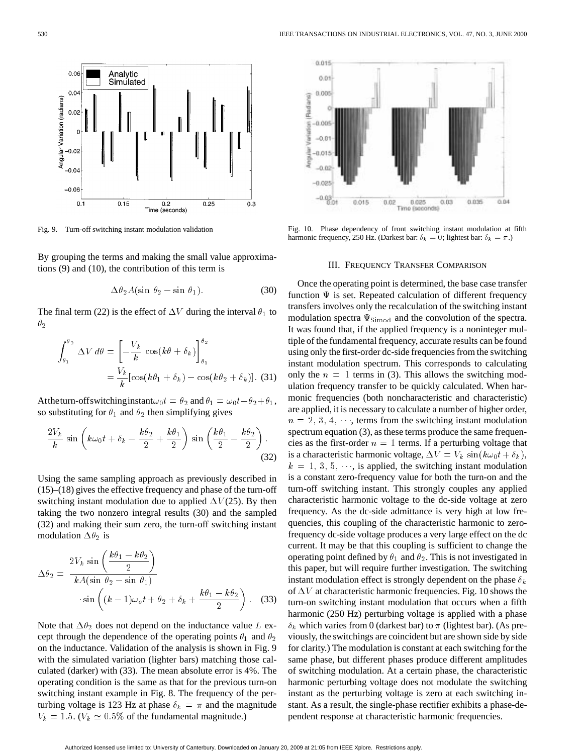

Fig. 9. Turn-off switching instant modulation validation

By grouping the terms and making the small value approximations (9) and (10), the contribution of this term is ms and making the small value approxima-<br>the contribution of this term is<br> $\Delta \theta_2 A(\sin \theta_2 - \sin \theta_1).$  (30)

$$
\Delta \theta_2 A (\sin \theta_2 - \sin \theta_1). \tag{30}
$$

The final term (22) is the effect of  $\Delta V$  during the interval  $\theta_1$  to  $\theta_2$ <br>  $\int^{\theta_2}$  $\theta_2$ 

$$
\int_{\theta_1}^{\theta_2} \Delta V \, d\theta = \left[ -\frac{V_k}{k} \cos(k\theta + \delta_k) \right]_{\theta_1}^{\theta_2}
$$

$$
= \frac{V_k}{k} [\cos(k\theta_1 + \delta_k) - \cos(k\theta_2 + \delta_k)]. \tag{31}
$$
Attheturn-off switching instant $\omega_0 t = \theta_2$  and  $\theta_1 = \omega_0 t - \theta_2 + \theta_1$ ,

so substituting for  $\theta_1$  and  $\theta_2$  then simplifying gives fswitching instant<br>ig for  $\theta_1$  and  $\theta_2$  th<br> $k\omega_0 t + \delta_k - \frac{k\theta_2}{2}$ 

ttheturn-off switching instant
$$
\omega_0 t = \theta_2
$$
 and  $\theta_1 = \omega_0 t - \theta_2 + \theta_1$ ,  
substituting for  $\theta_1$  and  $\theta_2$  then simplifying gives  

$$
\frac{2V_k}{k} \sin\left(k\omega_0 t + \delta_k - \frac{k\theta_2}{2} + \frac{k\theta_1}{2}\right) \sin\left(\frac{k\theta_1}{2} - \frac{k\theta_2}{2}\right).
$$
(32)

Using the same sampling approach as previously described in  $(15)$ – $(18)$  gives the effective frequency and phase of the turn-off switching instant modulation due to applied  $\Delta V(25)$ . By then taking the two nonzero integral results (30) and the sampled<br>
(32) and making their sum zero, the turn-off switching instant<br>
modulation  $\Delta \theta_2$  is<br>  $2V_k \sin \left( \frac{k\theta_1 - k\theta_2}{R} \right)$ (32) and making their sum zero, the turn-off switching instant modulation  $\Delta \theta_2$  is

modulation 
$$
\Delta \theta_2
$$
 is  
\n
$$
\Delta \theta_2 = \frac{2V_k \sin\left(\frac{k\theta_1 - k\theta_2}{2}\right)}{kA(\sin \theta_2 - \sin \theta_1)}
$$
\n
$$
\cdot \sin\left((k-1)\omega_0 t + \theta_2 + \delta_k + \frac{k\theta_1 - k\theta_2}{2}\right).
$$
\n(33)

Note that  $\Delta \theta_2$  does not depend on the inductance value L except through the dependence of the operating points  $\theta_1$  and  $\theta_2$ on the inductance. Validation of the analysis is shown in Fig. 9 with the simulated variation (lighter bars) matching those calculated (darker) with (33). The mean absolute error is 4%. The operating condition is the same as that for the previous turn-on switching instant example in Fig. 8. The frequency of the perturbing voltage is 123 Hz at phase  $\delta_k = \pi$  and the magnitude  $V_k = 1.5$ . ( $V_k \approx 0.5\%$  of the fundamental magnitude.)



Fig. 10. Phase dependency of front switching instant modulation at fifth harmonic frequency, 250 Hz. (Darkest bar:  $\delta_k = 0$ ; lightest bar:  $\delta_k = \pi$ .)

# III. FREQUENCY TRANSFER COMPARISON

Once the operating point is determined, the base case transfer function  $\Psi$  is set. Repeated calculation of different frequency transfers involves only the recalculation of the switching instant modulation spectra  $\Psi_{\text{Simod}}$  and the convolution of the spectra. It was found that, if the applied frequency is a noninteger multiple of the fundamental frequency, accurate results can be found using only the first-order dc-side frequencies from the switching instant modulation spectrum. This corresponds to calculating only the  $n = 1$  terms in (3). This allows the switching modulation frequency transfer to be quickly calculated. When harmonic frequencies (both noncharacteristic and characteristic) are applied, it is necessary to calculate a number of higher order,  $n = 2, 3, 4, \dots$ , terms from the switching instant modulation spectrum equation (3), as these terms produce the same frequencies as the first-order  $n = 1$  terms. If a perturbing voltage that is a characteristic harmonic voltage,  $\Delta V = V_k \sin(k\omega_0 t + \delta_k)$ ,  $k = 1, 3, 5, \dots$ , is applied, the switching instant modulation is a constant zero-frequency value for both the turn-on and the turn-off switching instant. This strongly couples any applied characteristic harmonic voltage to the dc-side voltage at zero frequency. As the dc-side admittance is very high at low frequencies, this coupling of the characteristic harmonic to zerofrequency dc-side voltage produces a very large effect on the dc current. It may be that this coupling is sufficient to change the operating point defined by  $\theta_1$  and  $\theta_2$ . This is not investigated in this paper, but will require further investigation. The switching instant modulation effect is strongly dependent on the phase  $\delta_k$ of  $\Delta V$  at characteristic harmonic frequencies. Fig. 10 shows the turn-on switching instant modulation that occurs when a fifth harmonic (250 Hz) perturbing voltage is applied with a phase  $\delta_k$  which varies from 0 (darkest bar) to  $\pi$  (lightest bar). (As previously, the switchings are coincident but are shown side by side for clarity.) The modulation is constant at each switching for the same phase, but different phases produce different amplitudes of switching modulation. At a certain phase, the characteristic harmonic perturbing voltage does not modulate the switching instant as the perturbing voltage is zero at each switching instant. As a result, the single-phase rectifier exhibits a phase-dependent response at characteristic harmonic frequencies.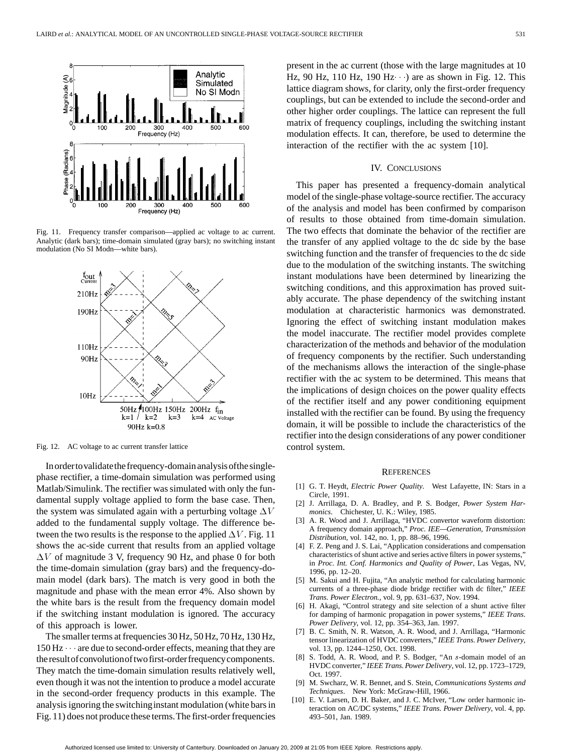





Fig. 12. AC voltage to ac current transfer lattice

Inordertovalidatethefrequency-domainanalysisofthesinglephase rectifier, a time-domain simulation was performed using Matlab/Simulink. The rectifier was simulated with only the fundamental supply voltage applied to form the base case. Then, the system was simulated again with a perturbing voltage  $\Delta V$ added to the fundamental supply voltage. The difference between the two results is the response to the applied  $\Delta V$ . Fig. 11 shows the ac-side current that results from an applied voltage  $\Delta V$  of magnitude 3 V, frequency 90 Hz, and phase 0 for both the time-domain simulation (gray bars) and the frequency-domain model (dark bars). The match is very good in both the magnitude and phase with the mean error 4%. Also shown by the white bars is the result from the frequency domain model if the switching instant modulation is ignored. The accuracy of this approach is lower.

The smaller terms at frequencies 30 Hz, 50 Hz, 70 Hz, 130 Hz,  $150$  Hz $\cdots$  are due to second-order effects, meaning that they are theresultofconvolutionoftwofirst-orderfrequencycomponents. They match the time-domain simulation results relatively well, even though it was not the intention to produce a model accurate in the second-order frequency products in this example. The analysis ignoring the switchinginstant modulation (white bars in Fig. 11) does not produce these terms.The first-order frequencies

present in the ac current (those with the large magnitudes at 10 present in the ac current (those with the large magnitudes at 10 Hz, 90 Hz, 110 Hz, 190 Hz $\cdots$ ) are as shown in Fig. 12. This lattice diagram shows, for clarity, only the first-order frequency couplings, but can be extended to include the second-order and other higher order couplings. The lattice can represent the full matrix of frequency couplings, including the switching instant modulation effects. It can, therefore, be used to determine the interaction of the rectifier with the ac system [10].

# IV. CONCLUSIONS

This paper has presented a frequency-domain analytical model of the single-phase voltage-source rectifier. The accuracy of the analysis and model has been confirmed by comparison of results to those obtained from time-domain simulation. The two effects that dominate the behavior of the rectifier are the transfer of any applied voltage to the dc side by the base switching function and the transfer of frequencies to the dc side due to the modulation of the switching instants. The switching instant modulations have been determined by linearizing the switching conditions, and this approximation has proved suitably accurate. The phase dependency of the switching instant modulation at characteristic harmonics was demonstrated. Ignoring the effect of switching instant modulation makes the model inaccurate. The rectifier model provides complete characterization of the methods and behavior of the modulation of frequency components by the rectifier. Such understanding of the mechanisms allows the interaction of the single-phase rectifier with the ac system to be determined. This means that the implications of design choices on the power quality effects of the rectifier itself and any power conditioning equipment installed with the rectifier can be found. By using the frequency domain, it will be possible to include the characteristics of the rectifier into the design considerations of any power conditioner control system.

#### **REFERENCES**

- [1] G. T. Heydt, *Electric Power Quality*. West Lafayette, IN: Stars in a Circle, 1991.
- [2] J. Arrillaga, D. A. Bradley, and P. S. Bodger, *Power System Harmonics*. Chichester, U. K.: Wiley, 1985.
- [3] A. R. Wood and J. Arrillaga, "HVDC convertor waveform distortion: A frequency domain approach," *Proc. IEE—Generation, Transmission Distribution*, vol. 142, no. 1, pp. 88–96, 1996.
- [4] F. Z. Peng and J. S. Lai, "Application considerations and compensation characteristics of shunt active and series active filters in power systems," in *Proc. Int. Conf. Harmonics and Quality of Power*, Las Vegas, NV, 1996, pp. 12–20.
- [5] M. Sakui and H. Fujita, "An analytic method for calculating harmonic currents of a three-phase diode bridge rectifier with dc filter," *IEEE Trans. Power Electron.*, vol. 9, pp. 631–637, Nov. 1994.
- [6] H. Akagi, "Control strategy and site selection of a shunt active filter for damping of harmonic propagation in power systems," *IEEE Trans. Power Delivery*, vol. 12, pp. 354–363, Jan. 1997.
- [7] B. C. Smith, N. R. Watson, A. R. Wood, and J. Arrillaga, "Harmonic tensor linearization of HVDC converters," *IEEE Trans. Power Delivery*, vol. 13, pp. 1244–1250, Oct. 1998.
- [8] S. Todd, A. R. Wood, and P. S. Bodger, "An s-domain model of an HVDC converter," *IEEE Trans. Power Delivery*, vol. 12, pp. 1723–1729, Oct. 1997.
- [9] M. Swcharz, W. R. Bennet, and S. Stein, *Communications Systems and Techniques*. New York: McGraw-Hill, 1966.
- [10] E. V. Larsen, D. H. Baker, and J. C. McIver, "Low order harmonic interaction on AC/DC systems," *IEEE Trans. Power Delivery*, vol. 4, pp. 493–501, Jan. 1989.